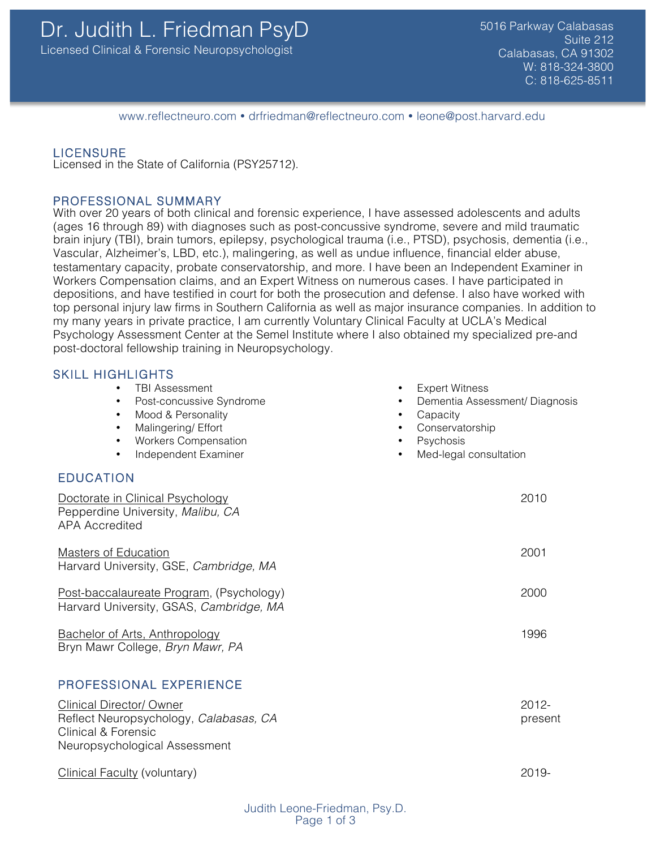www.reflectneuro.com • drfriedman@reflectneuro.com • leone@post.harvard.edu

LICENSURE<br>Licensed in the State of California (PSY25712).

### PROFESSIONAL SUMMARY

With over 20 years of both clinical and forensic experience, I have assessed adolescents and adults (ages 16 through 89) with diagnoses such as post-concussive syndrome, severe and mild traumatic brain injury (TBI), brain tumors, epilepsy, psychological trauma (i.e., PTSD), psychosis, dementia (i.e., Vascular, Alzheimer's, LBD, etc.), malingering, as well as undue influence, financial elder abuse, testamentary capacity, probate conservatorship, and more. I have been an Independent Examiner in Workers Compensation claims, and an Expert Witness on numerous cases. I have participated in depositions, and have testified in court for both the prosecution and defense. I also have worked with top personal injury law firms in Southern California as well as major insurance companies. In addition to my many years in private practice, I am currently Voluntary Clinical Faculty at UCLA's Medical Psychology Assessment Center at the Semel Institute where I also obtained my specialized pre-and post-doctoral fellowship training in Neuropsychology.

**Expert Witness** 

**Conservatorship Psychosis** 

Med-legal consultation

**Capacity** 

• Dementia Assessment/ Diagnosis

## SKILL HIGHLIGHTS

- TBI Assessment
- Post-concussive Syndrome
- Mood & Personality
- Malingering/ Effort
- Workers Compensation
- Independent Examiner
- EDUCATION

| Doctorate in Clinical Psychology<br>Pepperdine University, Malibu, CA<br><b>APA Accredited</b>              | 2010                |
|-------------------------------------------------------------------------------------------------------------|---------------------|
| <b>Masters of Education</b><br>Harvard University, GSE, Cambridge, MA                                       | 2001                |
| Post-baccalaureate Program, (Psychology)<br>Harvard University, GSAS, Cambridge, MA                         | 2000                |
| <b>Bachelor of Arts, Anthropology</b><br>Bryn Mawr College, Bryn Mawr, PA                                   | 1996                |
| PROFESSIONAL EXPERIENCE                                                                                     |                     |
| <b>Clinical Director/ Owner</b><br>Reflect Neuropsychology, Calabasas, CA<br><b>Clinical &amp; Forensic</b> | $2012 -$<br>present |

Clinical Faculty (voluntary) 2019-

Neuropsychological Assessment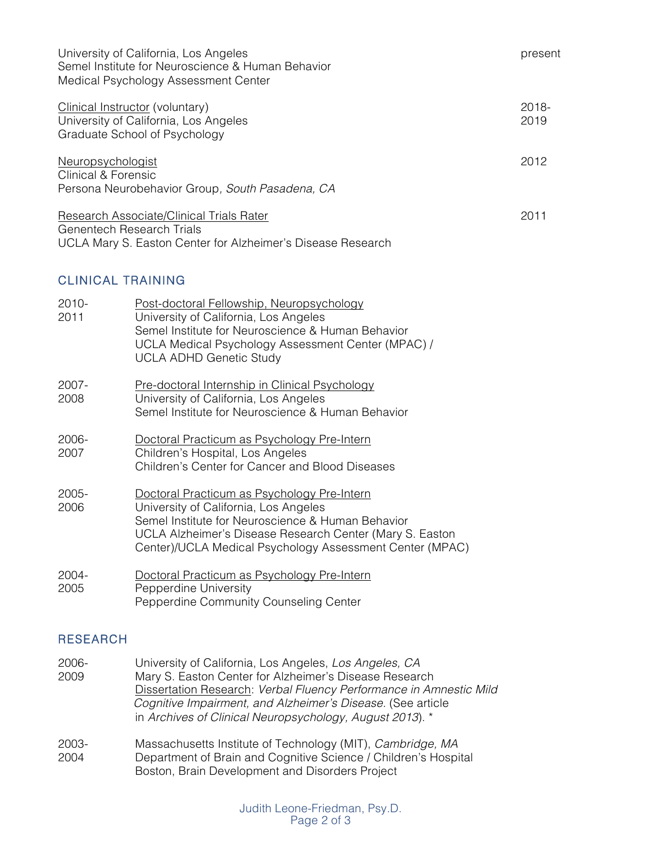| University of California, Los Angeles<br>Semel Institute for Neuroscience & Human Behavior<br>Medical Psychology Assessment Center          |                                                                                                                                                                                                                                 | present          |  |
|---------------------------------------------------------------------------------------------------------------------------------------------|---------------------------------------------------------------------------------------------------------------------------------------------------------------------------------------------------------------------------------|------------------|--|
| Clinical Instructor (voluntary)<br>University of California, Los Angeles<br>Graduate School of Psychology                                   |                                                                                                                                                                                                                                 | $2018 -$<br>2019 |  |
| 2012<br><b>Neuropsychologist</b><br><b>Clinical &amp; Forensic</b><br>Persona Neurobehavior Group, South Pasadena, CA                       |                                                                                                                                                                                                                                 |                  |  |
| Research Associate/Clinical Trials Rater<br><b>Genentech Research Trials</b><br>UCLA Mary S. Easton Center for Alzheimer's Disease Research |                                                                                                                                                                                                                                 |                  |  |
| <b>CLINICAL TRAINING</b>                                                                                                                    |                                                                                                                                                                                                                                 |                  |  |
| $2010 -$<br>2011                                                                                                                            | Post-doctoral Fellowship, Neuropsychology<br>University of California, Los Angeles<br>Semel Institute for Neuroscience & Human Behavior<br>UCLA Medical Psychology Assessment Center (MPAC) /<br><b>UCLA ADHD Genetic Study</b> |                  |  |
| $2007 -$<br>2008                                                                                                                            | Pre-doctoral Internship in Clinical Psychology<br>University of California, Los Angeles<br>Semel Institute for Neuroscience & Human Behavior                                                                                    |                  |  |

- 2006- Doctoral Practicum as Psychology Pre-Intern 2007 Children's Hospital, Los Angeles Children's Center for Cancer and Blood Diseases
- 2005- Doctoral Practicum as Psychology Pre-Intern 2006 University of California, Los Angeles Semel Institute for Neuroscience & Human Behavior UCLA Alzheimer's Disease Research Center (Mary S. Easton Center)/UCLA Medical Psychology Assessment Center (MPAC)
- 2004- Doctoral Practicum as Psychology Pre-Intern 2005 Pepperdine University Pepperdine Community Counseling Center

# RESEARCH

- 2006- University of California, Los Angeles, *Los Angeles, CA* 2009 Mary S. Easton Center for Alzheimer's Disease Research Dissertation Research: *Verbal Fluency Performance in Amnestic Mild Cognitive Impairment, and Alzheimer's Disease.* (See article in *Archives of Clinical Neuropsychology, August 2013*). \*
- 2003- Massachusetts Institute of Technology (MIT), *Cambridge, MA* 2004 Department of Brain and Cognitive Science / Children's Hospital Boston, Brain Development and Disorders Project